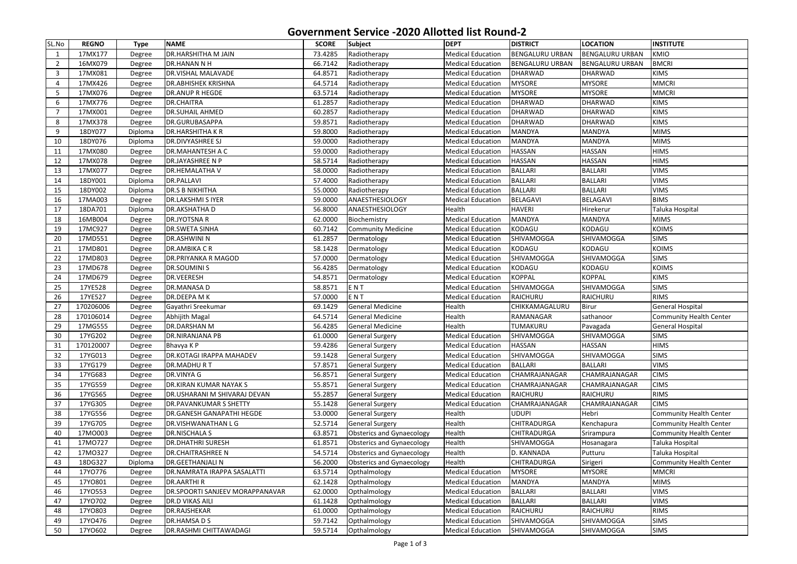| SL.No           | <b>REGNO</b> | <b>Type</b> | <b>NAME</b>                      | <b>SCORE</b> | Subject                          | <b>DEPT</b>              | <b>DISTRICT</b>        | <b>LOCATION</b>        | <b>INSTITUTE</b>               |
|-----------------|--------------|-------------|----------------------------------|--------------|----------------------------------|--------------------------|------------------------|------------------------|--------------------------------|
| 1               | 17MX177      | Degree      | <b>DR.HARSHITHA M JAIN</b>       | 73.4285      | Radiotherapy                     | <b>Medical Education</b> | <b>BENGALURU URBAN</b> | <b>BENGALURU URBAN</b> | KMIO                           |
| $\overline{2}$  | 16MX079      | Degree      | DR.HANAN N H                     | 66.7142      | Radiotherapy                     | <b>Medical Education</b> | <b>BENGALURU URBAN</b> | <b>BENGALURU URBAN</b> | <b>BMCRI</b>                   |
| 3               | 17MX081      | Degree      | <b>DR.VISHAL MALAVADE</b>        | 64.8571      | Radiotherapy                     | <b>Medical Education</b> | <b>DHARWAD</b>         | <b>DHARWAD</b>         | <b>KIMS</b>                    |
| $\overline{4}$  | 17MX426      | Degree      | <b>DR.ABHISHEK KRISHNA</b>       | 64.5714      | Radiotherapy                     | <b>Medical Education</b> | <b>MYSORE</b>          | <b>MYSORE</b>          | <b>MMCRI</b>                   |
| 5               | 17MX076      | Degree      | <b>DR.ANUP R HEGDE</b>           | 63.5714      | Radiotherapy                     | <b>Medical Education</b> | <b>MYSORE</b>          | <b>MYSORE</b>          | <b>MMCRI</b>                   |
| 6               | 17MX776      | Degree      | <b>DR.CHAITRA</b>                | 61.2857      | Radiotherapy                     | <b>Medical Education</b> | <b>DHARWAD</b>         | <b>DHARWAD</b>         | KIMS                           |
| 7               | 17MX001      | Degree      | <b>DR.SUHAIL AHMED</b>           | 60.2857      | Radiotherapy                     | <b>Medical Education</b> | DHARWAD                | DHARWAD                | <b>KIMS</b>                    |
| 8               | 17MX378      | Degree      | DR.GURUBASAPPA                   | 59.8571      | Radiotherapy                     | <b>Medical Education</b> | <b>DHARWAD</b>         | <b>DHARWAD</b>         | <b>KIMS</b>                    |
| 9               | 18DY077      | Diploma     | <b>DR.HARSHITHAKR</b>            | 59.8000      | Radiotherapy                     | <b>Medical Education</b> | <b>MANDYA</b>          | <b>MANDYA</b>          | <b>MIMS</b>                    |
| 10              | 18DY076      | Diploma     | <b>DR.DIVYASHREE SJ</b>          | 59.0000      | Radiotherapy                     | <b>Medical Education</b> | <b>MANDYA</b>          | <b>MANDYA</b>          | <b>MIMS</b>                    |
| 11              | 17MX080      | Degree      | DR.MAHANTESH A C                 | 59.0000      | Radiotherapy                     | <b>Medical Education</b> | <b>HASSAN</b>          | <b>HASSAN</b>          | <b>HIMS</b>                    |
| 12              | 17MX078      | Degree      | <b>DR.JAYASHREE N P</b>          | 58.5714      | Radiotherapy                     | <b>Medical Education</b> | <b>HASSAN</b>          | <b>HASSAN</b>          | <b>HIMS</b>                    |
| 13              | 17MX077      | Degree      | DR.HEMALATHA V                   | 58.0000      | Radiotherapy                     | <b>Medical Education</b> | <b>BALLARI</b>         | <b>BALLARI</b>         | <b>VIMS</b>                    |
| 14              | 18DY001      | Diploma     | <b>DR.PALLAVI</b>                | 57.4000      | Radiotherapy                     | <b>Medical Education</b> | <b>BALLARI</b>         | <b>BALLARI</b>         | <b>VIMS</b>                    |
| 15              | 18DY002      | Diploma     | <b>DR.S B NIKHITHA</b>           | 55.0000      | Radiotherapy                     | <b>Medical Education</b> | <b>BALLARI</b>         | <b>BALLARI</b>         | <b>VIMS</b>                    |
| 16              | 17MA003      | Degree      | <b>DR.LAKSHMI S IYER</b>         | 59.0000      | ANAESTHESIOLOGY                  | <b>Medical Education</b> | <b>BELAGAVI</b>        | <b>BELAGAVI</b>        | <b>BIMS</b>                    |
| 17              | 18DA701      | Diploma     | <b>DR.AKSHATHA D</b>             | 56.8000      | <b>ANAESTHESIOLOGY</b>           | Health                   | <b>HAVERI</b>          | Hirekerur              | Taluka Hospital                |
| 18              | 16MB004      | Degree      | DR.JYOTSNA R                     | 62.0000      | Biochemistry                     | <b>Medical Education</b> | <b>MANDYA</b>          | <b>MANDYA</b>          | <b>MIMS</b>                    |
| 19              | 17MC927      | Degree      | <b>DR.SWETA SINHA</b>            | 60.7142      | <b>Community Medicine</b>        | <b>Medical Education</b> | KODAGU                 | <b>KODAGU</b>          | KOIMS                          |
| 20              | 17MD551      | Degree      | DR.ASHWINI N                     | 61.2857      | Dermatology                      | <b>Medical Education</b> | <b>SHIVAMOGGA</b>      | SHIVAMOGGA             | <b>SIMS</b>                    |
| 21              | 17MD801      | Degree      | DR.AMBIKA CR                     | 58.1428      | Dermatology                      | <b>Medical Education</b> | <b>KODAGU</b>          | <b>KODAGU</b>          | KOIMS                          |
| 22              | 17MD803      | Degree      | <b>DR.PRIYANKA R MAGOD</b>       | 57.0000      | Dermatology                      | <b>Medical Education</b> | SHIVAMOGGA             | SHIVAMOGGA             | <b>SIMS</b>                    |
| 23              | 17MD678      | Degree      | <b>DR.SOUMINI S</b>              | 56.4285      | Dermatology                      | <b>Medical Education</b> | KODAGU                 | KODAGU                 | <b>KOIMS</b>                   |
| 24              | 17MD679      | Degree      | <b>DR.VEERESH</b>                | 54.8571      | Dermatology                      | <b>Medical Education</b> | <b>KOPPAL</b>          | <b>KOPPAL</b>          | <b>KIMS</b>                    |
| 25              | 17YE528      | Degree      | DR.MANASA D                      | 58.8571      | ENT                              | <b>Medical Education</b> | <b>SHIVAMOGGA</b>      | SHIVAMOGGA             | <b>SIMS</b>                    |
| 26              | 17YE527      | Degree      | DR.DEEPA M K                     | 57.0000      | ENT                              | <b>Medical Education</b> | RAICHURU               | RAICHURU               | <b>RIMS</b>                    |
| 27              | 170206006    | Degree      | Gayathri Sreekumar               | 69.1429      | <b>General Medicine</b>          | Health                   | CHIKKAMAGALURU         | Birur                  | <b>General Hospital</b>        |
| 28              | 170106014    | Degree      | Abhijith Magal                   | 64.5714      | <b>General Medicine</b>          | Health                   | <b>RAMANAGAR</b>       | sathanoor              | Community Health Center        |
| 29              | 17MG555      | Degree      | <b>DR.DARSHAN M</b>              | 56.4285      | <b>General Medicine</b>          | Health                   | <b>TUMAKURU</b>        | Pavagada               | <b>General Hospital</b>        |
| 30 <sup>°</sup> | 17YG202      | Degree      | DR.NIRANJANA PB                  | 61.0000      | General Surgery                  | <b>Medical Education</b> | SHIVAMOGGA             | <b>SHIVAMOGGA</b>      | <b>SIMS</b>                    |
| 31              | 170120007    | Degree      | Bhavya K P                       | 59.4286      | General Surgery                  | <b>Medical Education</b> | <b>HASSAN</b>          | <b>HASSAN</b>          | <b>HIMS</b>                    |
| 32              | 17YG013      | Degree      | DR.KOTAGI IRAPPA MAHADEV         | 59.1428      | <b>General Surgery</b>           | <b>Medical Education</b> | <b>SHIVAMOGGA</b>      | SHIVAMOGGA             | <b>SIMS</b>                    |
| 33              | 17YG179      | Degree      | DR.MADHURT                       | 57.8571      | General Surgery                  | <b>Medical Education</b> | BALLARI                | <b>BALLARI</b>         | <b>VIMS</b>                    |
| 34              | 17YG683      | Degree      | DR.VINYA G                       | 56.8571      | <b>General Surgery</b>           | <b>Medical Education</b> | CHAMRAJANAGAR          | CHAMRAJANAGAR          | <b>CIMS</b>                    |
| 35              | 17YG559      | Degree      | DR.KIRAN KUMAR NAYAK S           | 55.8571      | General Surgery                  | <b>Medical Education</b> | CHAMRAJANAGAR          | CHAMRAJANAGAR          | <b>CIMS</b>                    |
| 36              | 17YG565      | Degree      | DR.USHARANI M SHIVARAJ DEVAN     | 55.2857      | <b>General Surgery</b>           | <b>Medical Education</b> | <b>RAICHURU</b>        | RAICHURU               | <b>RIMS</b>                    |
| 37              | 17YG305      | Degree      | DR.PAVANKUMAR S SHETTY           | 55.1428      | <b>General Surgery</b>           | <b>Medical Education</b> | CHAMRAJANAGAR          | CHAMRAJANAGAR          | <b>CIMS</b>                    |
| 38              | 17YG556      | Degree      | <b>DR.GANESH GANAPATHI HEGDE</b> | 53.0000      | <b>General Surgery</b>           | Health                   | <b>UDUPI</b>           | Hebri                  | <b>Community Health Center</b> |
| 39              | 17YG705      | Degree      | DR.VISHWANATHAN L G              | 52.5714      | <b>General Surgery</b>           | Health                   | CHITRADURGA            | Kenchapura             | <b>Community Health Center</b> |
| 40              | 17M0003      | Degree      | <b>DR.NISCHALA S</b>             | 63.8571      | <b>Obsterics and Gynaecology</b> | Health                   | CHITRADURGA            | Srirampura             | Community Health Center        |
| 41              | 17M0727      | Degree      | <b>DR.DHATHRI SURESH</b>         | 61.8571      | <b>Obsterics and Gynaecology</b> | Health                   | SHIVAMOGGA             | Hosanagara             | Taluka Hospital                |
| 42              | 17M0327      | Degree      | <b>DR.CHAITRASHREE N</b>         | 54.5714      | <b>Obsterics and Gynaecology</b> | Health                   | D. KANNADA             | Putturu                | Taluka Hospital                |
| 43              | 18DG327      | Diploma     | <b>DR.GEETHANJALI N</b>          | 56.2000      | <b>Obsterics and Gynaecology</b> | Health                   | <b>CHITRADURGA</b>     | Sirigeri               | <b>Community Health Center</b> |
| 44              | 17YO776      | Degree      | DR.NAMRATA IRAPPA SASALATTI      | 63.5714      | Opthalmology                     | <b>Medical Education</b> | <b>MYSORE</b>          | <b>MYSORE</b>          | MMCRI                          |
| 45              | 17Y0801      | Degree      | <b>DR.AARTHIR</b>                | 62.1428      | Opthalmology                     | <b>Medical Education</b> | <b>MANDYA</b>          | <b>MANDYA</b>          | <b>MIMS</b>                    |
| 46              | 17Y0553      | Degree      | DR.SPOORTI SANJEEV MORAPPANAVAR  | 62.0000      | Opthalmology                     | <b>Medical Education</b> | <b>BALLARI</b>         | <b>BALLARI</b>         | <b>VIMS</b>                    |
| 47              | 17YO702      | Degree      | <b>DR.D VIKAS AILI</b>           | 61.1428      | Opthalmology                     | <b>Medical Education</b> | <b>BALLARI</b>         | <b>BALLARI</b>         | <b>VIMS</b>                    |
| 48              | 17Y0803      | Degree      | DR.RAJSHEKAR                     | 61.0000      | Opthalmology                     | <b>Medical Education</b> | RAICHURU               | RAICHURU               | <b>RIMS</b>                    |
| 49              | 17YO476      | Degree      | DR.HAMSA D S                     | 59.7142      | Opthalmology                     | <b>Medical Education</b> | <b>SHIVAMOGGA</b>      | SHIVAMOGGA             | <b>SIMS</b>                    |
| 50              | 17Y0602      | Degree      | <b>DR.RASHMI CHITTAWADAGI</b>    | 59.5714      | Opthalmology                     | <b>Medical Education</b> | <b>SHIVAMOGGA</b>      | SHIVAMOGGA             | <b>SIMS</b>                    |

## **Government Service -2020 Allotted list Round-2**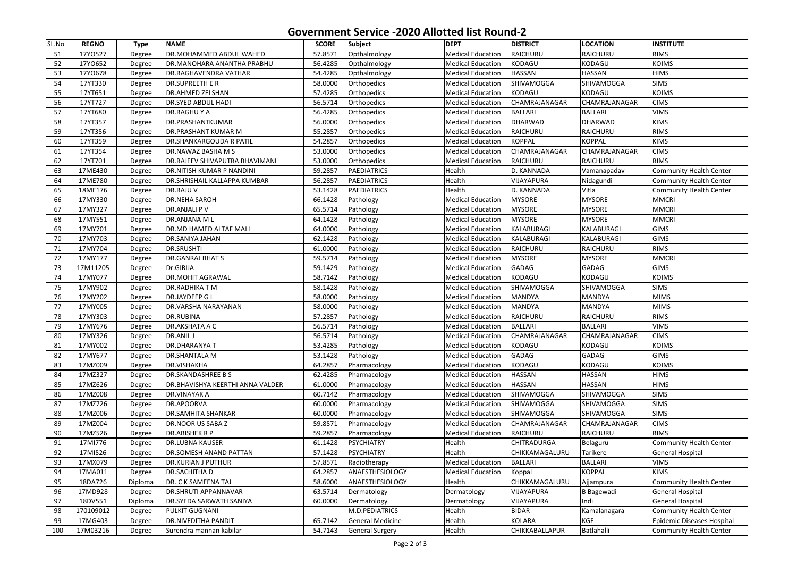## **Government Service -2020 Allotted list Round-2**

| SL.No | <b>REGNO</b> | <b>Type</b> | <b>NAME</b>                           | <b>SCORE</b> | Subject            | <b>DEPT</b>              | <b>DISTRICT</b>   | <b>LOCATION</b>   | <b>INSTITUTE</b>           |
|-------|--------------|-------------|---------------------------------------|--------------|--------------------|--------------------------|-------------------|-------------------|----------------------------|
| 51    | 17Y0527      | Degree      | <b>DR.MOHAMMED ABDUL WAHED</b>        | 57.8571      | Opthalmology       | <b>Medical Education</b> | RAICHURU          | RAICHURU          | <b>RIMS</b>                |
| 52    | 17Y0652      | Degree      | <b>DR.MANOHARA ANANTHA PRABHU</b>     | 56.4285      | Opthalmology       | <b>Medical Education</b> | KODAGU            | KODAGU            | <b>KOIMS</b>               |
| 53    | 17Y0678      | Degree      | <b>DR.RAGHAVENDRA VATHAR</b>          | 54.4285      | Opthalmology       | <b>Medical Education</b> | <b>HASSAN</b>     | <b>HASSAN</b>     | <b>HIMS</b>                |
| 54    | 17YT330      | Degree      | <b>DR.SUPREETH E R</b>                | 58.0000      | Orthopedics        | <b>Medical Education</b> | <b>SHIVAMOGGA</b> | SHIVAMOGGA        | <b>SIMS</b>                |
| 55    | 17YT651      | Degree      | <b>DR.AHMED ZELSHAN</b>               | 57.4285      | <b>Orthopedics</b> | <b>Medical Education</b> | KODAGU            | KODAGU            | <b>KOIMS</b>               |
| 56    | 17YT727      | Degree      | <b>DR.SYED ABDUL HADI</b>             | 56.5714      | <b>Orthopedics</b> | <b>Medical Education</b> | CHAMRAJANAGAR     | CHAMRAJANAGAR     | <b>CIMS</b>                |
| 57    | 17YT680      | Degree      | <b>DR.RAGHUYA</b>                     | 56.4285      | Orthopedics        | <b>Medical Education</b> | <b>BALLARI</b>    | <b>BALLARI</b>    | <b>VIMS</b>                |
| 58    | 17YT357      | Degree      | <b>DR.PRASHANTKUMAR</b>               | 56.0000      | Orthopedics        | <b>Medical Education</b> | <b>DHARWAD</b>    | <b>DHARWAD</b>    | <b>KIMS</b>                |
| 59    | 17YT356      | Degree      | <b>DR.PRASHANT KUMAR M</b>            | 55.2857      | Orthopedics        | <b>Medical Education</b> | RAICHURU          | RAICHURU          | <b>RIMS</b>                |
| 60    | 17YT359      | Degree      | <b>DR.SHANKARGOUDA R PATIL</b>        | 54.2857      | <b>Orthopedics</b> | <b>Medical Education</b> | KOPPAL            | <b>KOPPAL</b>     | <b>KIMS</b>                |
| 61    | 17YT354      | Degree      | DR.NAWAZ BASHA M S                    | 53.0000      | Orthopedics        | <b>Medical Education</b> | CHAMRAJANAGAR     | CHAMRAJANAGAR     | <b>CIMS</b>                |
| 62    | 17YT701      | Degree      | <b>DR.RAJEEV SHIVAPUTRA BHAVIMANI</b> | 53.0000      | Orthopedics        | <b>Medical Education</b> | <b>RAICHURU</b>   | RAICHURU          | <b>RIMS</b>                |
| 63    | 17ME430      | Degree      | <b>DR.NITISH KUMAR P NANDINI</b>      | 59.2857      | PAEDIATRICS        | Health                   | D. KANNADA        | Vamanapadav       | Community Health Center    |
| 64    | 17ME780      | Degree      | DR.SHRISHAIL KALLAPPA KUMBAR          | 56.2857      | PAEDIATRICS        | Health                   | VIJAYAPURA        | Nidagundi         | Community Health Center    |
| 65    | 18ME176      | Degree      | <b>DR.RAJU V</b>                      | 53.1428      | PAEDIATRICS        | Health                   | D. KANNADA        | Vitla             | Community Health Center    |
| 66    | 17MY330      | Degree      | <b>DR.NEHA SAROH</b>                  | 66.1428      | Pathology          | <b>Medical Education</b> | <b>MYSORE</b>     | <b>MYSORE</b>     | <b>MMCRI</b>               |
| 67    | 17MY327      | Degree      | <b>DR.ANJALI P V</b>                  | 65.5714      | Pathology          | <b>Medical Education</b> | <b>MYSORE</b>     | <b>MYSORE</b>     | <b>MMCRI</b>               |
| 68    | 17MY551      | Degree      | DR.ANJANA ML                          | 64.1428      | Pathology          | <b>Medical Education</b> | <b>MYSORE</b>     | <b>MYSORE</b>     | MMCRI                      |
| 69    | 17MY701      | Degree      | <b>DR.MD HAMED ALTAF MALI</b>         | 64.0000      | Pathology          | <b>Medical Education</b> | KALABURAGI        | KALABURAGI        | <b>GIMS</b>                |
| 70    | 17MY703      | Degree      | <b>DR.SANIYA JAHAN</b>                | 62.1428      | Pathology          | <b>Medical Education</b> | KALABURAGI        | KALABURAGI        | <b>GIMS</b>                |
| 71    | 17MY704      | Degree      | <b>DR.SRUSHTI</b>                     | 61.0000      | Pathology          | <b>Medical Education</b> | RAICHURU          | RAICHURU          | <b>RIMS</b>                |
| 72    | 17MY177      | Degree      | <b>DR.GANRAJ BHAT S</b>               | 59.5714      | Pathology          | <b>Medical Education</b> | <b>MYSORE</b>     | <b>MYSORE</b>     | <b>MMCRI</b>               |
| 73    | 17M11205     | Degree      | Dr.GIRIJA                             | 59.1429      | Pathology          | <b>Medical Education</b> | GADAG             | GADAG             | <b>GIMS</b>                |
| 74    | 17MY077      | Degree      | <b>DR.MOHIT AGRAWAL</b>               | 58.7142      | Pathology          | <b>Medical Education</b> | KODAGU            | KODAGU            | <b>KOIMS</b>               |
| 75    | 17MY902      | Degree      | <b>DR.RADHIKA T M</b>                 | 58.1428      | Pathology          | <b>Medical Education</b> | <b>SHIVAMOGGA</b> | SHIVAMOGGA        | <b>SIMS</b>                |
| 76    | 17MY202      | Degree      | <b>DR.JAYDEEP G L</b>                 | 58.0000      | Pathology          | <b>Medical Education</b> | MANDYA            | <b>MANDYA</b>     | <b>MIMS</b>                |
| 77    | 17MY005      | Degree      | DR.VARSHA NARAYANAN                   | 58.0000      | Pathology          | <b>Medical Education</b> | MANDYA            | <b>MANDYA</b>     | <b>MIMS</b>                |
| 78    | 17MY303      | Degree      | <b>DR.RUBINA</b>                      | 57.2857      | Pathology          | <b>Medical Education</b> | RAICHURU          | RAICHURU          | <b>RIMS</b>                |
| 79    | 17MY676      | Degree      | <b>DR.AKSHATA A C</b>                 | 56.5714      | Pathology          | <b>Medical Education</b> | <b>BALLARI</b>    | <b>BALLARI</b>    | <b>VIMS</b>                |
| 80    | 17MY326      | Degree      | DR.ANIL J                             | 56.5714      | Pathology          | <b>Medical Education</b> | CHAMRAJANAGAR     | CHAMRAJANAGAR     | <b>CIMS</b>                |
| 81    | 17MY002      | Degree      | <b>DR.DHARANYA T</b>                  | 53.4285      | Pathology          | Medical Education        | KODAGU            | KODAGU            | <b>KOIMS</b>               |
| 82    | 17MY677      | Degree      | <b>DR.SHANTALA M</b>                  | 53.1428      | Pathology          | <b>Medical Education</b> | GADAG             | GADAG             | <b>GIMS</b>                |
| 83    | 17MZ009      | Degree      | <b>DR.VISHAKHA</b>                    | 64.2857      | Pharmacology       | <b>Medical Education</b> | KODAGU            | KODAGU            | <b>KOIMS</b>               |
| 84    | 17MZ327      | Degree      | <b>DR.SKANDASHREE B S</b>             | 62.4285      | Pharmacology       | <b>Medical Education</b> | <b>HASSAN</b>     | <b>HASSAN</b>     | <b>HIMS</b>                |
| 85    | 17MZ626      | Degree      | DR.BHAVISHYA KEERTHI ANNA VALDER      | 61.0000      | Pharmacology       | <b>Medical Education</b> | HASSAN            | <b>HASSAN</b>     | <b>HIMS</b>                |
| 86    | 17MZ008      | Degree      | <b>DR.VINAYAK A</b>                   | 60.7142      | Pharmacology       | <b>Medical Education</b> | SHIVAMOGGA        | SHIVAMOGGA        | <b>SIMS</b>                |
| 87    | 17MZ726      | Degree      | <b>DR.APOORVA</b>                     | 60.0000      | Pharmacology       | <b>Medical Education</b> | <b>SHIVAMOGGA</b> | <b>SHIVAMOGGA</b> | <b>SIMS</b>                |
| 88    | 17MZ006      | Degree      | <b>DR.SAMHITA SHANKAR</b>             | 60.0000      | Pharmacology       | <b>Medical Education</b> | SHIVAMOGGA        | <b>SHIVAMOGGA</b> | <b>SIMS</b>                |
| 89    | 17MZ004      | Degree      | <b>DR.NOOR US SABA Z</b>              | 59.8571      | Pharmacology       | <b>Medical Education</b> | CHAMRAJANAGAR     | CHAMRAJANAGAR     | <b>CIMS</b>                |
| 90    | 17MZ526      | Degree      | <b>DR.ABISHEK R P</b>                 | 59.2857      | Pharmacology       | <b>Medical Education</b> | RAICHURU          | RAICHURU          | <b>RIMS</b>                |
| 91    | 17MI776      | Degree      | <b>DR.LUBNA KAUSER</b>                | 61.1428      | PSYCHIATRY         | Health                   | CHITRADURGA       | Belaguru          | Community Health Center    |
| 92    | 17MI526      | Degree      | DR.SOMESH ANAND PATTAN                | 57.1428      | PSYCHIATRY         | Health                   | CHIKKAMAGALURU    | Tarikere          | General Hospital           |
| 93    | 17MX079      | Degree      | <b>DR.KURIAN J PUTHUR</b>             | 57.8571      | Radiotherapy       | <b>Medical Education</b> | <b>BALLARI</b>    | <b>BALLARI</b>    | <b>VIMS</b>                |
| 94    | 17MA011      | Degree      | <b>DR.SACHITHA D</b>                  | 64.2857      | ANAESTHESIOLOGY    | <b>Medical Education</b> | Koppal            | <b>KOPPAL</b>     | <b>KIMS</b>                |
| 95    | 18DA726      | Diploma     | DR. C K SAMEENA TAJ                   | 58.6000      | ANAESTHESIOLOGY    | Health                   | CHIKKAMAGALURU    | Ajjampura         | Community Health Center    |
| 96    | 17MD928      | Degree      | <b>DR.SHRUTI APPANNAVAR</b>           | 63.5714      | Dermatology        | Dermatology              | VIJAYAPURA        | <b>B</b> Bagewadi | General Hospital           |
| 97    | 18DV551      | Diploma     | <b>DR.SYEDA SARWATH SANIYA</b>        | 60.0000      | Dermatology        | Dermatology              | VIJAYAPURA        | Indi              | General Hospital           |
| 98    | 170109012    | Degree      | PULKIT GUGNANI                        |              | M.D.PEDIATRICS     | Health                   | <b>BIDAR</b>      | Kamalanagara      | Community Health Center    |
| 99    | 17MG403      | Degree      | <b>DR.NIVEDITHA PANDIT</b>            | 65.7142      | General Medicine   | Health                   | KOLARA            | <b>KGF</b>        | Epidemic Diseases Hospital |
| 100   | 17M03216     | Degree      | Surendra mannan kabilar               | 54.7143      | General Surgery    | Health                   | CHIKKABALLAPUR    | Batlahalli        | Community Health Center    |